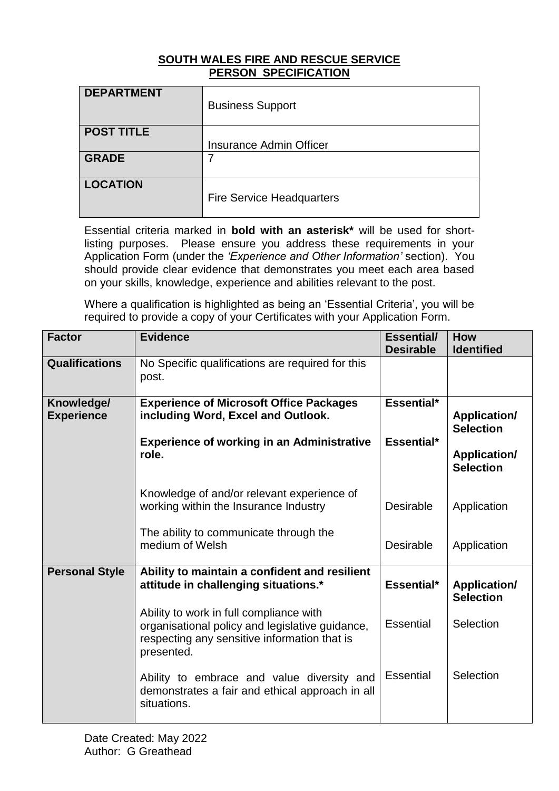## **SOUTH WALES FIRE AND RESCUE SERVICE PERSON SPECIFICATION**

| <b>DEPARTMENT</b> | <b>Business Support</b>          |
|-------------------|----------------------------------|
| <b>POST TITLE</b> | Insurance Admin Officer          |
|                   |                                  |
| <b>GRADE</b>      | $\overline{7}$                   |
| <b>LOCATION</b>   | <b>Fire Service Headquarters</b> |

Essential criteria marked in **bold with an asterisk\*** will be used for shortlisting purposes. Please ensure you address these requirements in your Application Form (under the *'Experience and Other Information'* section). You should provide clear evidence that demonstrates you meet each area based on your skills, knowledge, experience and abilities relevant to the post.

Where a qualification is highlighted as being an 'Essential Criteria', you will be required to provide a copy of your Certificates with your Application Form.

| <b>Factor</b>                   | <b>Evidence</b>                                                                                                                                          | <b>Essential/</b><br><b>Desirable</b>                 | <b>How</b><br><b>Identified</b>         |
|---------------------------------|----------------------------------------------------------------------------------------------------------------------------------------------------------|-------------------------------------------------------|-----------------------------------------|
| Qualifications                  | No Specific qualifications are required for this<br>post.                                                                                                |                                                       |                                         |
| Knowledge/<br><b>Experience</b> | <b>Experience of Microsoft Office Packages</b><br>including Word, Excel and Outlook.                                                                     | Essential*<br><b>Application/</b><br><b>Selection</b> |                                         |
|                                 | <b>Experience of working in an Administrative</b><br>role.                                                                                               | Essential*                                            | <b>Application/</b><br><b>Selection</b> |
|                                 | Knowledge of and/or relevant experience of<br>working within the Insurance Industry                                                                      | <b>Desirable</b>                                      | Application                             |
|                                 | The ability to communicate through the<br>medium of Welsh                                                                                                | <b>Desirable</b>                                      | Application                             |
| <b>Personal Style</b>           | Ability to maintain a confident and resilient<br>attitude in challenging situations.*                                                                    | Essential*                                            | <b>Application/</b><br><b>Selection</b> |
|                                 | Ability to work in full compliance with<br>organisational policy and legislative guidance,<br>respecting any sensitive information that is<br>presented. | <b>Essential</b>                                      | Selection                               |
|                                 | Ability to embrace and value diversity and<br>demonstrates a fair and ethical approach in all<br>situations.                                             | <b>Essential</b>                                      | Selection                               |